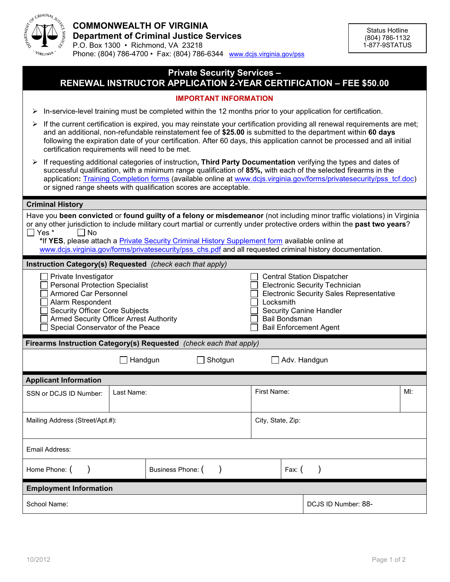

Phone: (804) 786-4700 • Fax: (804) 786-6344 [www.dcjs.virginia.gov/pss](http://www.djcs.virginia.gov/pss)

# **Private Security Services – RENEWAL INSTRUCTOR APPLICATION 2-YEAR CERTIFICATION – FEE \$50.00**

## **IMPORTANT INFORMATION**

 $\triangleright$  In-service-level training must be completed within the 12 months prior to your application for certification.

- $\triangleright$  If the current certification is expired, you may reinstate your certification providing all renewal requirements are met; and an additional, non-refundable reinstatement fee of **\$25.00** is submitted to the department within **60 days** following the expiration date of your certification. After 60 days, this application cannot be processed and all initial certification requirements will need to be met.
- If requesting additional categories of instruction**, Third Party Documentation** verifying the types and dates of successful qualification, with a minimum range qualification of **85%,** with each of the selected firearms in the application: [Training Completion forms](http://www.dcjs.virginia.gov/forms/privatesecurity/pss_tcf.doc) (available online at www.dcjs.virginia.gov/forms/privatesecurity/pss\_tcf.doc) or signed range sheets with qualification scores are acceptable.

#### **Criminal History**

| Have you been convicted or found guilty of a felony or misdemeanor (not including minor traffic violations) in Virginia<br>or any other jurisdiction to include military court martial or currently under protective orders within the past two years?<br>Yes <sup>*</sup><br>$\Box$ No<br>*If YES, please attach a Private Security Criminal History Supplement form available online at<br>www.dcjs.virginia.gov/forms/privatesecurity/pss_chs.pdf and all requested criminal history documentation. |            |                   |  |                                                                                                                                                                                                                                       |                     |  |  |  |
|--------------------------------------------------------------------------------------------------------------------------------------------------------------------------------------------------------------------------------------------------------------------------------------------------------------------------------------------------------------------------------------------------------------------------------------------------------------------------------------------------------|------------|-------------------|--|---------------------------------------------------------------------------------------------------------------------------------------------------------------------------------------------------------------------------------------|---------------------|--|--|--|
| Instruction Category(s) Requested (check each that apply)                                                                                                                                                                                                                                                                                                                                                                                                                                              |            |                   |  |                                                                                                                                                                                                                                       |                     |  |  |  |
| Private Investigator<br><b>Personal Protection Specialist</b><br><b>Armored Car Personnel</b><br>Alarm Respondent<br><b>Security Officer Core Subjects</b><br><b>Armed Security Officer Arrest Authority</b><br>Special Conservator of the Peace                                                                                                                                                                                                                                                       |            |                   |  | <b>Central Station Dispatcher</b><br><b>Electronic Security Technician</b><br><b>Electronic Security Sales Representative</b><br>Locksmith<br><b>Security Canine Handler</b><br><b>Bail Bondsman</b><br><b>Bail Enforcement Agent</b> |                     |  |  |  |
| Firearms Instruction Category(s) Requested (check each that apply)                                                                                                                                                                                                                                                                                                                                                                                                                                     |            |                   |  |                                                                                                                                                                                                                                       |                     |  |  |  |
| Handgun<br>Shotgun                                                                                                                                                                                                                                                                                                                                                                                                                                                                                     |            |                   |  | Adv. Handgun                                                                                                                                                                                                                          |                     |  |  |  |
| <b>Applicant Information</b>                                                                                                                                                                                                                                                                                                                                                                                                                                                                           |            |                   |  |                                                                                                                                                                                                                                       |                     |  |  |  |
| SSN or DCJS ID Number:                                                                                                                                                                                                                                                                                                                                                                                                                                                                                 | Last Name: |                   |  | First Name:<br>MI:                                                                                                                                                                                                                    |                     |  |  |  |
| Mailing Address (Street/Apt.#):                                                                                                                                                                                                                                                                                                                                                                                                                                                                        |            |                   |  | City, State, Zip:                                                                                                                                                                                                                     |                     |  |  |  |
| Email Address:                                                                                                                                                                                                                                                                                                                                                                                                                                                                                         |            |                   |  |                                                                                                                                                                                                                                       |                     |  |  |  |
| Home Phone: (                                                                                                                                                                                                                                                                                                                                                                                                                                                                                          |            | Business Phone: ( |  | Fax: $($                                                                                                                                                                                                                              |                     |  |  |  |
| <b>Employment Information</b>                                                                                                                                                                                                                                                                                                                                                                                                                                                                          |            |                   |  |                                                                                                                                                                                                                                       |                     |  |  |  |
| School Name:                                                                                                                                                                                                                                                                                                                                                                                                                                                                                           |            |                   |  |                                                                                                                                                                                                                                       | DCJS ID Number: 88- |  |  |  |